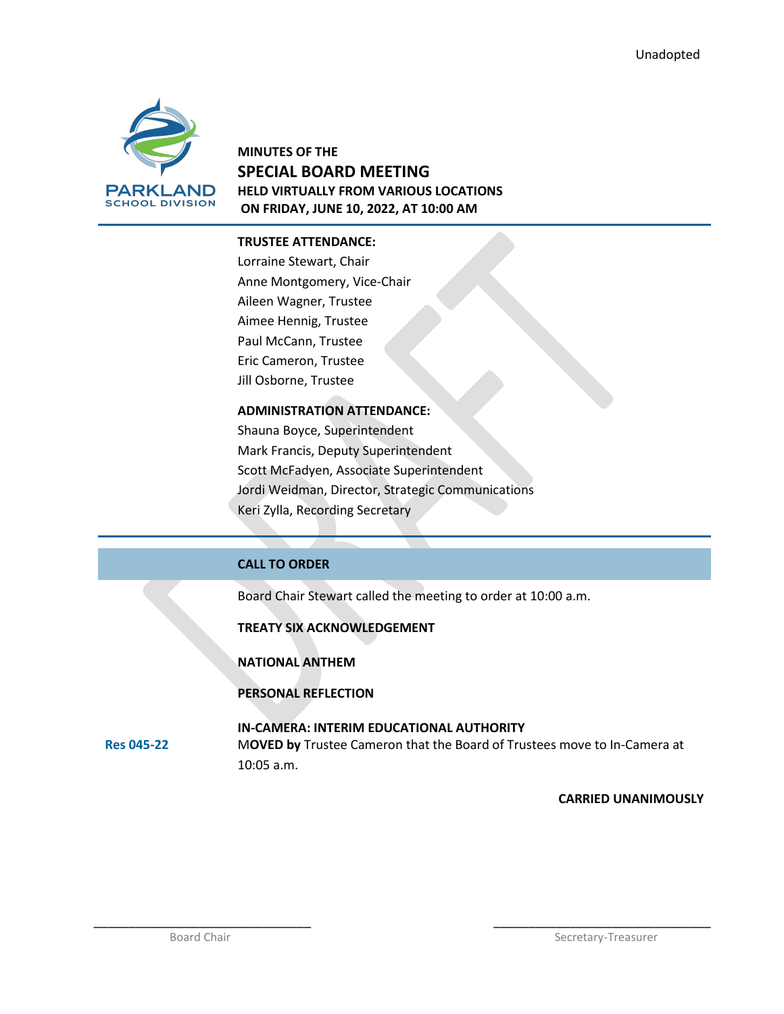

# **MINUTES OF THE SPECIAL BOARD MEETING HELD VIRTUALLY FROM VARIOUS LOCATIONS ON FRIDAY, JUNE 10, 2022, AT 10:00 AM**

## **TRUSTEE ATTENDANCE:**

Lorraine Stewart, Chair Anne Montgomery, Vice-Chair Aileen Wagner, Trustee Aimee Hennig, Trustee Paul McCann, Trustee Eric Cameron, Trustee Jill Osborne, Trustee

# **ADMINISTRATION ATTENDANCE:**

Shauna Boyce, Superintendent Mark Francis, Deputy Superintendent Scott McFadyen, Associate Superintendent Jordi Weidman, Director, Strategic Communications Keri Zylla, Recording Secretary

# **CALL TO ORDER**

Board Chair Stewart called the meeting to order at 10:00 a.m.

**TREATY SIX ACKNOWLEDGEMENT**

**NATIONAL ANTHEM**

**PERSONAL REFLECTION**

**Res 045-22 IN-CAMERA: INTERIM EDUCATIONAL AUTHORITY** M**OVED by** Trustee Cameron that the Board of Trustees move to In-Camera at 10:05 a.m.

\_\_\_\_\_\_\_\_\_\_\_\_\_\_\_\_\_\_\_\_\_\_\_\_\_\_\_\_\_\_\_ \_\_\_\_\_\_\_\_\_\_\_\_\_\_\_\_\_\_\_\_\_\_\_\_\_\_\_\_\_\_\_

## **CARRIED UNANIMOUSLY**